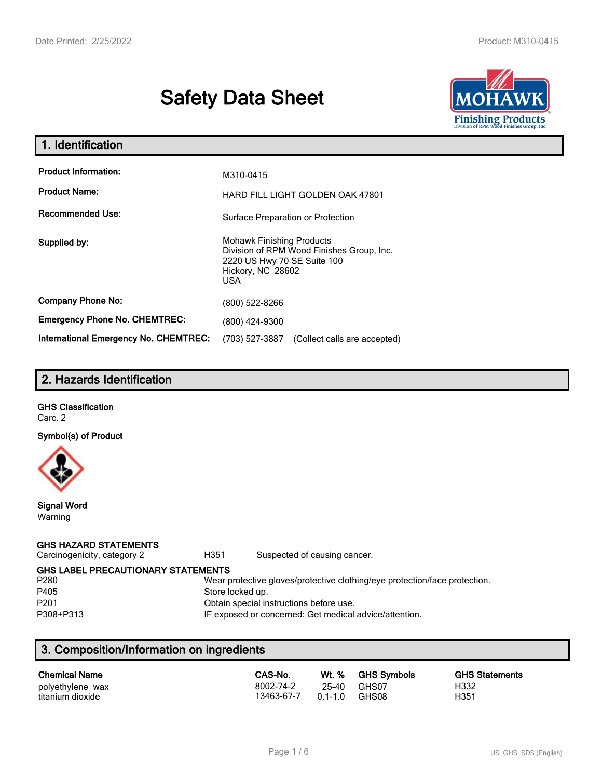# **Safety Data Sheet**



| 1. Identification                                   |                                                                                                                                                 |  |
|-----------------------------------------------------|-------------------------------------------------------------------------------------------------------------------------------------------------|--|
| <b>Product Information:</b><br><b>Product Name:</b> | M310-0415                                                                                                                                       |  |
| <b>Recommended Use:</b>                             | <b>HARD FILL LIGHT GOLDEN OAK 47801</b><br>Surface Preparation or Protection                                                                    |  |
| Supplied by:                                        | <b>Mohawk Finishing Products</b><br>Division of RPM Wood Finishes Group, Inc.<br>2220 US Hwy 70 SE Suite 100<br>Hickory, NC 28602<br><b>USA</b> |  |
| <b>Company Phone No:</b>                            | (800) 522-8266                                                                                                                                  |  |
| <b>Emergency Phone No. CHEMTREC:</b>                | (800) 424-9300                                                                                                                                  |  |
| <b>International Emergency No. CHEMTREC:</b>        | (703) 527-3887<br>(Collect calls are accepted)                                                                                                  |  |

# **2. Hazards Identification**

|         | <b>GHS Classification</b> |
|---------|---------------------------|
| Carc. 2 |                           |

**Symbol(s) of Product**



**Signal Word** Warning

#### **GHS HAZARD STATEMENTS**

Carcinogenicity, category 2 **H351** Suspected of causing cancer.

**GHS LABEL PRECAUTIONARY STATEMENTS**<br>P280 Wear p

#### Wear protective gloves/protective clothing/eye protection/face protection. P405 Store locked up.

P201 Obtain special instructions before use.

P308+P313 IF exposed or concerned: Get medical advice/attention.

# **3. Composition/Information on ingredients**

| <b>Chemical Name</b>                 | CAS-No.                 | Wt. %              | <b>GHS Symbols</b> | <b>GHS Statements</b> |
|--------------------------------------|-------------------------|--------------------|--------------------|-----------------------|
| polyethylene wax<br>titanium dioxide | 8002-74-2<br>13463-67-7 | 25-40<br>$01 - 10$ | GHS07<br>GHS08     | H332<br>H351          |
|                                      |                         |                    |                    |                       |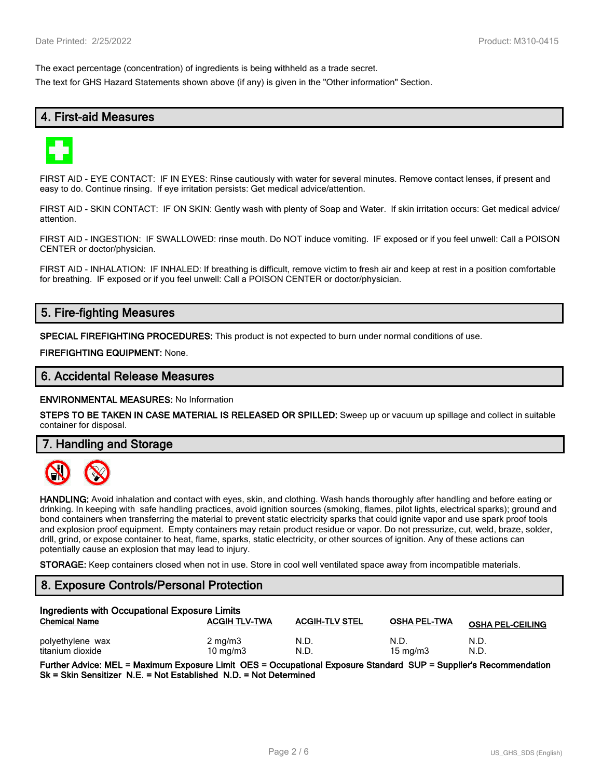The exact percentage (concentration) of ingredients is being withheld as a trade secret.

The text for GHS Hazard Statements shown above (if any) is given in the "Other information" Section.

# **4. First-aid Measures**



FIRST AID - EYE CONTACT: IF IN EYES: Rinse cautiously with water for several minutes. Remove contact lenses, if present and easy to do. Continue rinsing. If eye irritation persists: Get medical advice/attention.

FIRST AID - SKIN CONTACT: IF ON SKIN: Gently wash with plenty of Soap and Water. If skin irritation occurs: Get medical advice/ attention.

FIRST AID - INGESTION: IF SWALLOWED: rinse mouth. Do NOT induce vomiting. IF exposed or if you feel unwell: Call a POISON CENTER or doctor/physician.

FIRST AID - INHALATION: IF INHALED: If breathing is difficult, remove victim to fresh air and keep at rest in a position comfortable for breathing. IF exposed or if you feel unwell: Call a POISON CENTER or doctor/physician.

# **5. Fire-fighting Measures**

**SPECIAL FIREFIGHTING PROCEDURES:** This product is not expected to burn under normal conditions of use.

**FIREFIGHTING EQUIPMENT:** None.

### **6. Accidental Release Measures**

**ENVIRONMENTAL MEASURES:** No Information

**STEPS TO BE TAKEN IN CASE MATERIAL IS RELEASED OR SPILLED:** Sweep up or vacuum up spillage and collect in suitable container for disposal.

**7. Handling and Storage**



**HANDLING:** Avoid inhalation and contact with eyes, skin, and clothing. Wash hands thoroughly after handling and before eating or drinking. In keeping with safe handling practices, avoid ignition sources (smoking, flames, pilot lights, electrical sparks); ground and bond containers when transferring the material to prevent static electricity sparks that could ignite vapor and use spark proof tools and explosion proof equipment. Empty containers may retain product residue or vapor. Do not pressurize, cut, weld, braze, solder, drill, grind, or expose container to heat, flame, sparks, static electricity, or other sources of ignition. Any of these actions can potentially cause an explosion that may lead to injury.

**STORAGE:** Keep containers closed when not in use. Store in cool well ventilated space away from incompatible materials.

## **8. Exposure Controls/Personal Protection**

| Ingredients with Occupational Exposure Limits |                                |                       |                     |                         |
|-----------------------------------------------|--------------------------------|-----------------------|---------------------|-------------------------|
| <b>Chemical Name</b>                          | <b>ACGIH TLV-TWA</b>           | <b>ACGIH-TLV STEL</b> | <b>OSHA PEL-TWA</b> | <b>OSHA PEL-CEILING</b> |
| polyethylene wax<br>titanium dioxide          | $2 \text{ mg/m}$<br>10 $mq/m3$ | N.D.<br>N.D           | N.D.<br>15 mg/m $3$ | N.D.<br>N.D.            |

**Further Advice: MEL = Maximum Exposure Limit OES = Occupational Exposure Standard SUP = Supplier's Recommendation Sk = Skin Sensitizer N.E. = Not Established N.D. = Not Determined**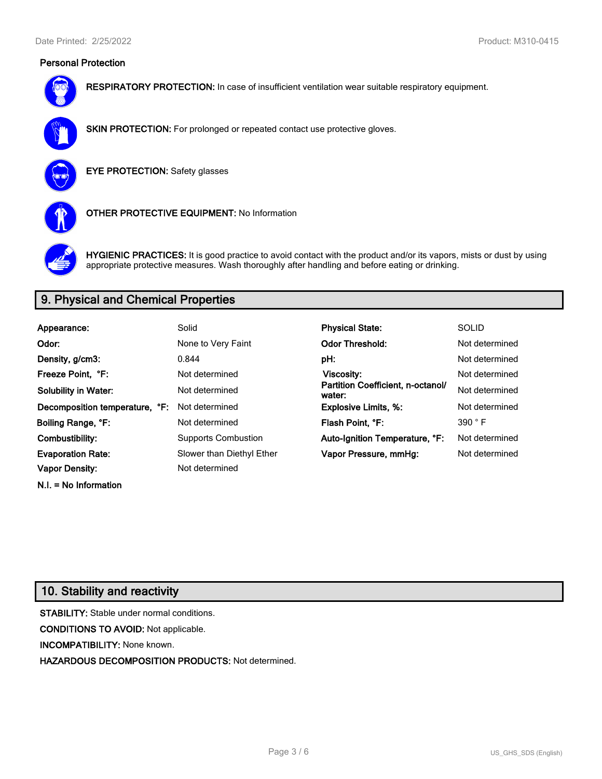# **Personal Protection**



**RESPIRATORY PROTECTION:** In case of insufficient ventilation wear suitable respiratory equipment.



**SKIN PROTECTION:** For prolonged or repeated contact use protective gloves.

**EYE PROTECTION:** Safety glasses



**OTHER PROTECTIVE EQUIPMENT:** No Information



**HYGIENIC PRACTICES:** It is good practice to avoid contact with the product and/or its vapors, mists or dust by using appropriate protective measures. Wash thoroughly after handling and before eating or drinking.

# **9. Physical and Chemical Properties**

| Appearance:                    | Solid                      | <b>Physical State:</b>                      | <b>SOLID</b>   |
|--------------------------------|----------------------------|---------------------------------------------|----------------|
| Odor:                          | None to Very Faint         | <b>Odor Threshold:</b>                      | Not determined |
| Density, g/cm3:                | 0.844                      | pH:                                         | Not determined |
| Freeze Point. °F:              | Not determined             | Viscosity:                                  | Not determined |
| <b>Solubility in Water:</b>    | Not determined             | Partition Coefficient, n-octanol/<br>water: | Not determined |
| Decomposition temperature, °F: | Not determined             | <b>Explosive Limits, %:</b>                 | Not determined |
| Boiling Range, °F:             | Not determined             | Flash Point, °F:                            | 390 °F         |
| Combustibility:                | <b>Supports Combustion</b> | Auto-Ignition Temperature, °F:              | Not determined |
| <b>Evaporation Rate:</b>       | Slower than Diethyl Ether  | Vapor Pressure, mmHg:                       | Not determined |
| <b>Vapor Density:</b>          | Not determined             |                                             |                |

# **10. Stability and reactivity**

**N.I. = No Information**

**STABILITY:** Stable under normal conditions. **CONDITIONS TO AVOID:** Not applicable. **INCOMPATIBILITY:** None known. **HAZARDOUS DECOMPOSITION PRODUCTS:** Not determined.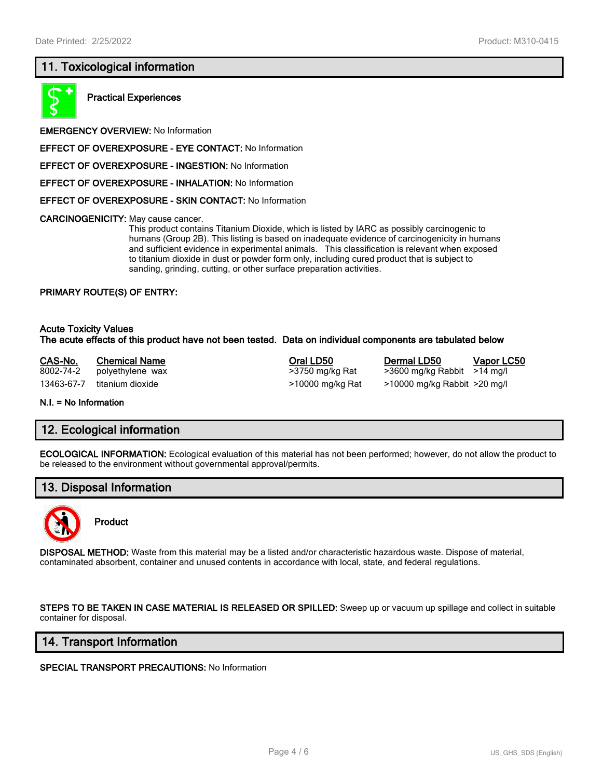# **11. Toxicological information**



**Practical Experiences**

**EMERGENCY OVERVIEW:** No Information

**EFFECT OF OVEREXPOSURE - EYE CONTACT:** No Information

**EFFECT OF OVEREXPOSURE - INGESTION:** No Information

**EFFECT OF OVEREXPOSURE - INHALATION:** No Information

**EFFECT OF OVEREXPOSURE - SKIN CONTACT:** No Information

**CARCINOGENICITY:** May cause cancer.

This product contains Titanium Dioxide, which is listed by IARC as possibly carcinogenic to humans (Group 2B). This listing is based on inadequate evidence of carcinogenicity in humans and sufficient evidence in experimental animals. This classification is relevant when exposed to titanium dioxide in dust or powder form only, including cured product that is subject to sanding, grinding, cutting, or other surface preparation activities.

#### **PRIMARY ROUTE(S) OF ENTRY:**

#### **Acute Toxicity Values The acute effects of this product have not been tested. Data on individual components are tabulated below**

| CAS-No.    | <b>Chemical Name</b> | Dermal LD50<br>Oral LD50                           | Vapor LC50 |
|------------|----------------------|----------------------------------------------------|------------|
| 8002-74-2  | polyethylene wax     | $>3600$ mg/kg Rabbit $>14$ mg/l<br>>3750 mg/kg Rat |            |
| 13463-67-7 | titanium dioxide     | >10000 mg/kg Rabbit >20 mg/l<br>>10000 mg/kg Rat   |            |

**N.I. = No Information**

### **12. Ecological information**

**ECOLOGICAL INFORMATION:** Ecological evaluation of this material has not been performed; however, do not allow the product to be released to the environment without governmental approval/permits.

## **13. Disposal Information**



**Product**

**DISPOSAL METHOD:** Waste from this material may be a listed and/or characteristic hazardous waste. Dispose of material, contaminated absorbent, container and unused contents in accordance with local, state, and federal regulations.

**STEPS TO BE TAKEN IN CASE MATERIAL IS RELEASED OR SPILLED:** Sweep up or vacuum up spillage and collect in suitable container for disposal.

#### **14. Transport Information**

**SPECIAL TRANSPORT PRECAUTIONS:** No Information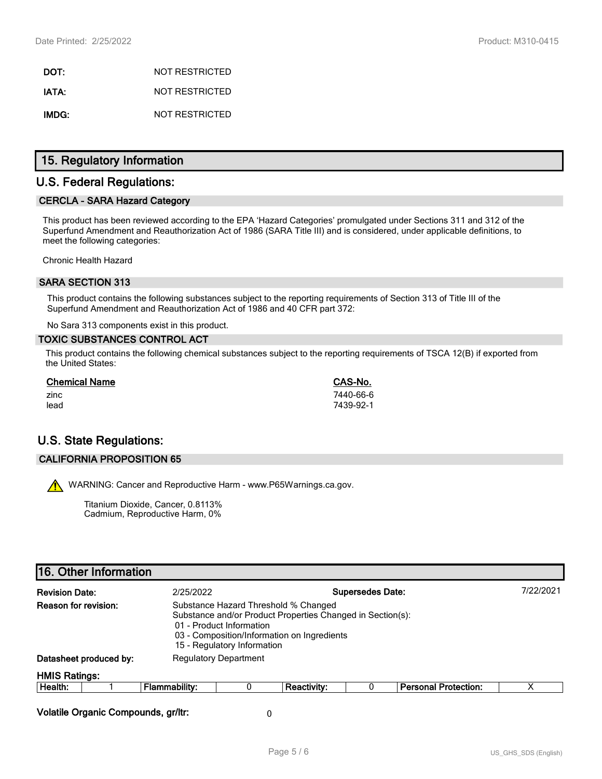**DOT:** NOT RESTRICTED **IATA:** NOT RESTRICTED **IMDG:** NOT RESTRICTED

## **15. Regulatory Information**

# **U.S. Federal Regulations:**

#### **CERCLA - SARA Hazard Category**

This product has been reviewed according to the EPA 'Hazard Categories' promulgated under Sections 311 and 312 of the Superfund Amendment and Reauthorization Act of 1986 (SARA Title III) and is considered, under applicable definitions, to meet the following categories:

Chronic Health Hazard

#### **SARA SECTION 313**

This product contains the following substances subject to the reporting requirements of Section 313 of Title III of the Superfund Amendment and Reauthorization Act of 1986 and 40 CFR part 372:

No Sara 313 components exist in this product.

#### **TOXIC SUBSTANCES CONTROL ACT**

This product contains the following chemical substances subject to the reporting requirements of TSCA 12(B) if exported from the United States:

| <b>Chemical Name</b> | CAS-No.   |
|----------------------|-----------|
| zinc                 | 7440-66-6 |
| lead                 | 7439-92-1 |

# **U.S. State Regulations:**

#### **CALIFORNIA PROPOSITION 65**

WARNING: Cancer and Reproductive Harm - www.P65Warnings.ca.gov.

Titanium Dioxide, Cancer, 0.8113% Cadmium, Reproductive Harm, 0%

# **16. Other Information Revision Date:** 2/25/2022 **Supersedes Date:** 7/22/2021 **Reason for revision:** Substance Hazard Threshold % Changed Substance and/or Product Properties Changed in Section(s): 01 - Product Information 03 - Composition/Information on Ingredients 15 - Regulatory Information **Datasheet produced by:** Regulatory Department **HMIS Ratings: Health:** 1 **Flammability:** 0 **Reactivity:** 0 **Personal Protection:** X **Volatile Organic Compounds, gr/ltr:** 0